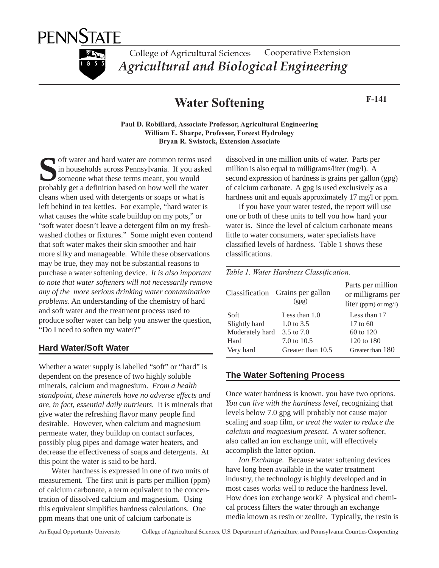

College of Agricultural Sciences *Agricultural and Biological Engineering* Cooperative Extension

# **Water Softening** F-141

**Paul D. Robillard, Associate Professor, Agricultural Engineering William E. Sharpe, Professor, Foreest Hydrology Bryan R. Swistock, Extension Associate**

**Solution** of the water and hard water are common terms used<br>in households across Pennsylvania. If you asked<br>someone what these terms meant, you would<br>probably get a definition based on how well the water in households across Pennsylvania. If you asked someone what these terms meant, you would probably get a definition based on how well the water cleans when used with detergents or soaps or what is left behind in tea kettles. For example, "hard water is what causes the white scale buildup on my pots," or "soft water doesn't leave a detergent film on my freshwashed clothes or fixtures." Some might even contend that soft water makes their skin smoother and hair more silky and manageable. While these observations may be true, they may not be substantial reasons to purchase a water softening device. *It is also important to note that water softeners will not necessarily remove any of the more serious drinking water contamination problems*. An understanding of the chemistry of hard and soft water and the treatment process used to produce softer water can help you answer the question, "Do I need to soften my water?"

#### **Hard Water/Soft Water**

Whether a water supply is labelled "soft" or "hard" is dependent on the presence of two highly soluble minerals, calcium and magnesium. *From a health standpoint, these minerals have no adverse effects and are, in fact, essential daily nutrients*. It is minerals that give water the refreshing flavor many people find desirable. However, when calcium and magnesium permeate water, they buildup on contact surfaces, possibly plug pipes and damage water heaters, and decrease the effectiveness of soaps and detergents. At this point the water is said to be hard.

Water hardness is expressed in one of two units of measurement. The first unit is parts per million (ppm) of calcium carbonate, a term equivalent to the concentration of dissolved calcium and magnesium. Using this equivalent simplifies hardness calculations. One ppm means that one unit of calcium carbonate is

dissolved in one million units of water. Parts per million is also equal to milligrams/liter (mg/l). A second expression of hardness is grains per gallon (gpg) of calcium carbonate. A gpg is used exclusively as a hardness unit and equals approximately 17 mg/l or ppm.

If you have your water tested, the report will use one or both of these units to tell you how hard your water is. Since the level of calcium carbonate means little to water consumers, water specialists have classified levels of hardness. Table 1 shows these classifications.

*Table 1. Water Hardness Classification.*

| Classification  | Grains per gallon<br>(gpg) | Parts per million<br>or milligrams per<br>liter (ppm) or mg/l) |
|-----------------|----------------------------|----------------------------------------------------------------|
| Soft            | Less than $1.0$            | Less than 17                                                   |
| Slightly hard   | 1.0 to $3.5$               | $17 \text{ to } 60$                                            |
| Moderately hard | 3.5 to 7.0                 | 60 to 120                                                      |
| Hard            | 7.0 to 10.5                | 120 to 180                                                     |
| Very hard       | Greater than 10.5          | Greater than 180                                               |

## **The Water Softening Process**

Once water hardness is known, you have two options. *You can live with the hardness level*, recognizing that levels below 7.0 gpg will probably not cause major scaling and soap film, *or treat the water to reduce the calcium and magnesium present.* A water softener, also called an ion exchange unit, will effectively accomplish the latter option.

*Ion Exchange.* Because water softening devices have long been available in the water treatment industry, the technology is highly developed and in most cases works well to reduce the hardness level. How does ion exchange work? A physical and chemical process filters the water through an exchange media known as resin or zeolite. Typically, the resin is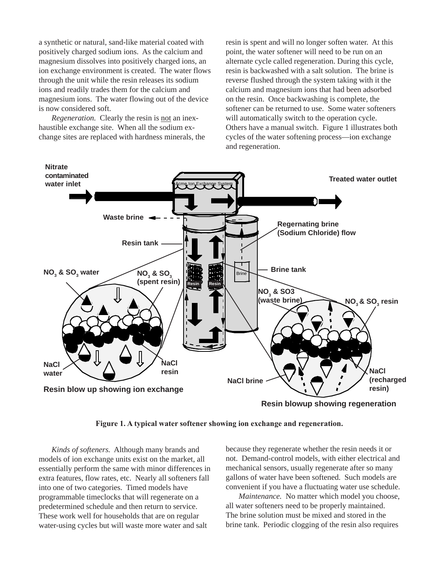a synthetic or natural, sand-like material coated with positively charged sodium ions. As the calcium and magnesium dissolves into positively charged ions, an ion exchange environment is created. The water flows through the unit while the resin releases its sodium ions and readily trades them for the calcium and magnesium ions. The water flowing out of the device is now considered soft.

*Regeneration.* Clearly the resin is not an inexhaustible exchange site. When all the sodium exchange sites are replaced with hardness minerals, the resin is spent and will no longer soften water. At this point, the water softener will need to be run on an alternate cycle called regeneration. During this cycle, resin is backwashed with a salt solution. The brine is reverse flushed through the system taking with it the calcium and magnesium ions that had been adsorbed on the resin. Once backwashing is complete, the softener can be returned to use. Some water softeners will automatically switch to the operation cycle. Others have a manual switch. Figure 1 illustrates both cycles of the water softening process—ion exchange and regeneration.



**Figure 1. A typical water softener showing ion exchange and regeneration.**

*Kinds of softeners.* Although many brands and models of ion exchange units exist on the market, all essentially perform the same with minor differences in extra features, flow rates, etc. Nearly all softeners fall into one of two categories. Timed models have programmable timeclocks that will regenerate on a predetermined schedule and then return to service. These work well for households that are on regular water-using cycles but will waste more water and salt

because they regenerate whether the resin needs it or not. Demand-control models, with either electrical and mechanical sensors, usually regenerate after so many gallons of water have been softened. Such models are convenient if you have a fluctuating water use schedule.

*Maintenance.* No matter which model you choose, all water softeners need to be properly maintained. The brine solution must be mixed and stored in the brine tank. Periodic clogging of the resin also requires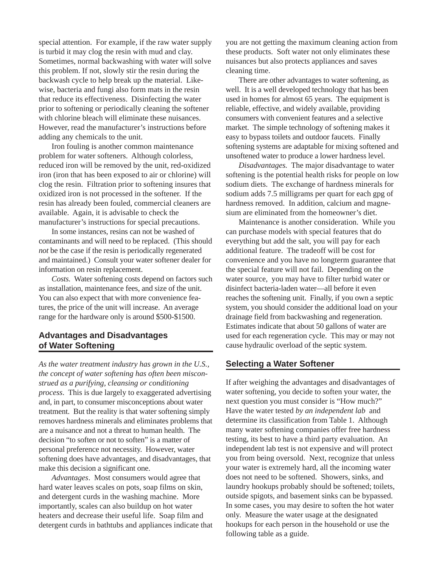special attention. For example, if the raw water supply is turbid it may clog the resin with mud and clay. Sometimes, normal backwashing with water will solve this problem. If not, slowly stir the resin during the backwash cycle to help break up the material. Likewise, bacteria and fungi also form mats in the resin that reduce its effectiveness. Disinfecting the water prior to softening or periodically cleaning the softener with chlorine bleach will eliminate these nuisances. However, read the manufacturer's instructions before adding any chemicals to the unit.

Iron fouling is another common maintenance problem for water softeners. Although colorless, reduced iron will be removed by the unit, red-oxidized iron (iron that has been exposed to air or chlorine) will clog the resin. Filtration prior to softening insures that oxidized iron is not processed in the softener. If the resin has already been fouled, commercial cleaners are available. Again, it is advisable to check the manufacturer's instructions for special precautions.

In some instances, resins can not be washed of contaminants and will need to be replaced. (This should *not* be the case if the resin is periodically regenerated and maintained.) Consult your water softener dealer for information on resin replacement.

*Costs.* Water softening costs depend on factors such as installation, maintenance fees, and size of the unit. You can also expect that with more convenience features, the price of the unit will increase. An average range for the hardware only is around \$500-\$1500.

## **Advantages and Disadvantages of Water Softening**

*As the water treatment industry has grown in the U.S., the concept of water softening has often been misconstrued as a purifying, cleansing or conditioning process*. This is due largely to exaggerated advertising and, in part, to consumer misconceptions about water treatment. But the reality is that water softening simply removes hardness minerals and eliminates problems that are a nuisance and not a threat to human health. The decision "to soften or not to soften" is a matter of personal preference not necessity. However, water softening does have advantages, and disadvantages, that make this decision a significant one.

*Advantages*. Most consumers would agree that hard water leaves scales on pots, soap films on skin, and detergent curds in the washing machine. More importantly, scales can also buildup on hot water heaters and decrease their useful life. Soap film and detergent curds in bathtubs and appliances indicate that you are not getting the maximum cleaning action from these products. Soft water not only eliminates these nuisances but also protects appliances and saves cleaning time.

There are other advantages to water softening, as well. It is a well developed technology that has been used in homes for almost 65 years. The equipment is reliable, effective, and widely available, providing consumers with convenient features and a selective market. The simple technology of softening makes it easy to bypass toilets and outdoor faucets. Finally softening systems are adaptable for mixing softened and unsoftened water to produce a lower hardness level.

*Disadvantages.* The major disadvantage to water softening is the potential health risks for people on low sodium diets. The exchange of hardness minerals for sodium adds 7.5 milligrams per quart for each gpg of hardness removed. In addition, calcium and magnesium are eliminated from the homeowner's diet.

Maintenance is another consideration. While you can purchase models with special features that do everything but add the salt, you will pay for each additional feature. The tradeoff will be cost for convenience and you have no longterm guarantee that the special feature will not fail. Depending on the water source, you may have to filter turbid water or disinfect bacteria-laden water—all before it even reaches the softening unit. Finally, if you own a septic system, you should consider the additional load on your drainage field from backwashing and regeneration. Estimates indicate that about 50 gallons of water are used for each regeneration cycle. This may or may not cause hydraulic overload of the septic system.

### **Selecting a Water Softener**

If after weighing the advantages and disadvantages of water softening, you decide to soften your water, the next question you must consider is "How much?" Have the water tested *by an independent lab* and determine its classification from Table 1. Although many water softening companies offer free hardness testing, its best to have a third party evaluation. An independent lab test is not expensive and will protect you from being oversold. Next, recognize that unless your water is extremely hard, all the incoming water does not need to be softened. Showers, sinks, and laundry hookups probably should be softened; toilets, outside spigots, and basement sinks can be bypassed. In some cases, you may desire to soften the hot water only. Measure the water usage at the designated hookups for each person in the household or use the following table as a guide.